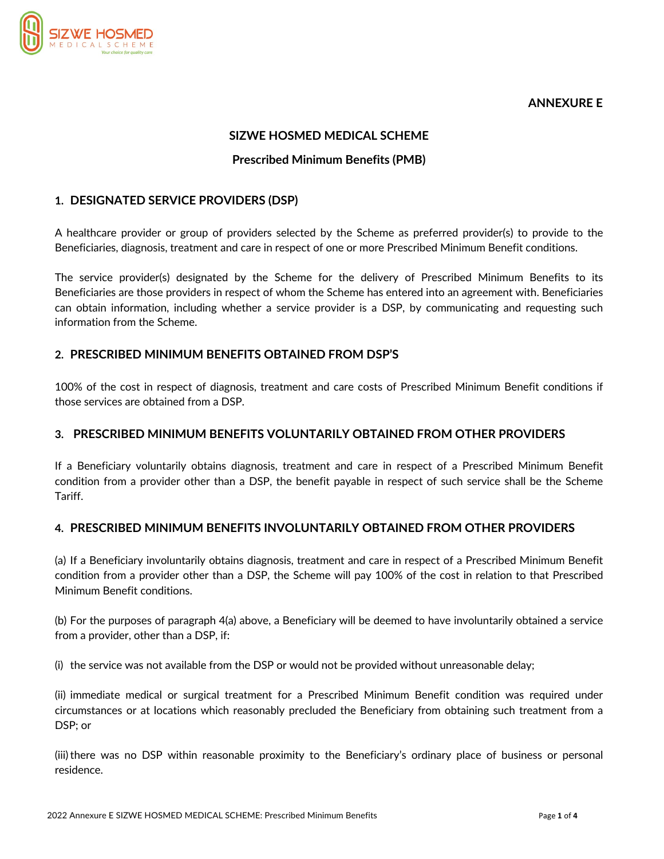

# **ANNEXURE E**

#### **SIZWE HOSMED MEDICAL SCHEME**

### **Prescribed Minimum Benefits (PMB)**

#### **1. DESIGNATED SERVICE PROVIDERS (DSP)**

A healthcare provider or group of providers selected by the Scheme as preferred provider(s) to provide to the Beneficiaries, diagnosis, treatment and care in respect of one or more Prescribed Minimum Benefit conditions.

The service provider(s) designated by the Scheme for the delivery of Prescribed Minimum Benefits to its Beneficiaries are those providers in respect of whom the Scheme has entered into an agreement with. Beneficiaries can obtain information, including whether a service provider is a DSP, by communicating and requesting such information from the Scheme.

### **2. PRESCRIBED MINIMUM BENEFITS OBTAINED FROM DSP'S**

100% of the cost in respect of diagnosis, treatment and care costs of Prescribed Minimum Benefit conditions if those services are obtained from a DSP.

#### **3. PRESCRIBED MINIMUM BENEFITS VOLUNTARILY OBTAINED FROM OTHER PROVIDERS**

If a Beneficiary voluntarily obtains diagnosis, treatment and care in respect of a Prescribed Minimum Benefit condition from a provider other than a DSP, the benefit payable in respect of such service shall be the Scheme Tariff.

### **4. PRESCRIBED MINIMUM BENEFITS INVOLUNTARILY OBTAINED FROM OTHER PROVIDERS**

(a) If a Beneficiary involuntarily obtains diagnosis, treatment and care in respect of a Prescribed Minimum Benefit condition from a provider other than a DSP, the Scheme will pay 100% of the cost in relation to that Prescribed Minimum Benefit conditions.

(b) For the purposes of paragraph 4(a) above, a Beneficiary will be deemed to have involuntarily obtained a service from a provider, other than a DSP, if:

(i) the service was not available from the DSP or would not be provided without unreasonable delay;

(ii) immediate medical or surgical treatment for a Prescribed Minimum Benefit condition was required under circumstances or at locations which reasonably precluded the Beneficiary from obtaining such treatment from a DSP; or

(iii)there was no DSP within reasonable proximity to the Beneficiary's ordinary place of business or personal residence.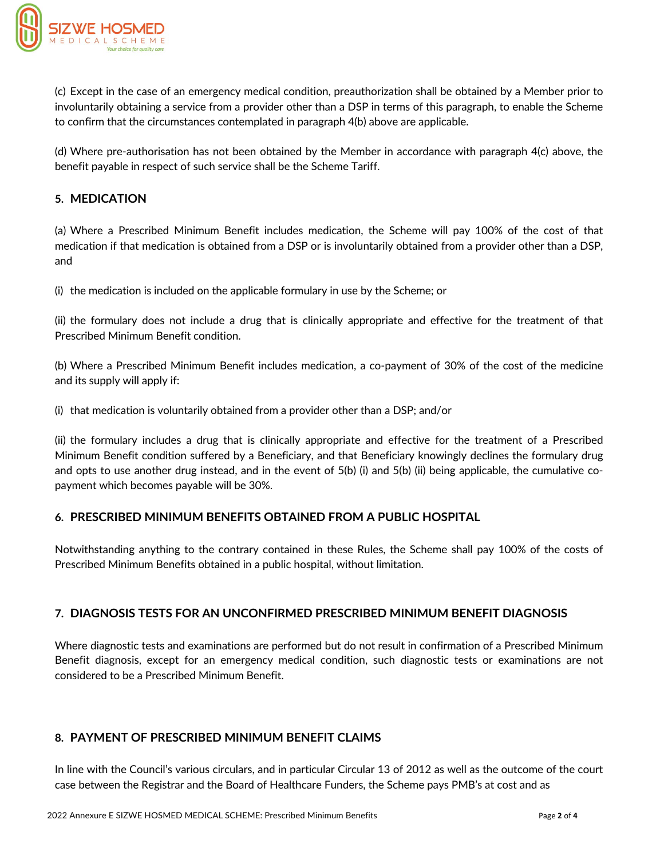

(c) Except in the case of an emergency medical condition, preauthorization shall be obtained by a Member prior to involuntarily obtaining a service from a provider other than a DSP in terms of this paragraph, to enable the Scheme to confirm that the circumstances contemplated in paragraph 4(b) above are applicable.

(d) Where pre-authorisation has not been obtained by the Member in accordance with paragraph 4(c) above, the benefit payable in respect of such service shall be the Scheme Tariff.

# **5. MEDICATION**

(a) Where a Prescribed Minimum Benefit includes medication, the Scheme will pay 100% of the cost of that medication if that medication is obtained from a DSP or is involuntarily obtained from a provider other than a DSP, and

(i) the medication is included on the applicable formulary in use by the Scheme; or

(ii) the formulary does not include a drug that is clinically appropriate and effective for the treatment of that Prescribed Minimum Benefit condition.

(b) Where a Prescribed Minimum Benefit includes medication, a co-payment of 30% of the cost of the medicine and its supply will apply if:

(i) that medication is voluntarily obtained from a provider other than a DSP; and/or

(ii) the formulary includes a drug that is clinically appropriate and effective for the treatment of a Prescribed Minimum Benefit condition suffered by a Beneficiary, and that Beneficiary knowingly declines the formulary drug and opts to use another drug instead, and in the event of 5(b) (i) and 5(b) (ii) being applicable, the cumulative copayment which becomes payable will be 30%.

# **6. PRESCRIBED MINIMUM BENEFITS OBTAINED FROM A PUBLIC HOSPITAL**

Notwithstanding anything to the contrary contained in these Rules, the Scheme shall pay 100% of the costs of Prescribed Minimum Benefits obtained in a public hospital, without limitation.

### **7. DIAGNOSIS TESTS FOR AN UNCONFIRMED PRESCRIBED MINIMUM BENEFIT DIAGNOSIS**

Where diagnostic tests and examinations are performed but do not result in confirmation of a Prescribed Minimum Benefit diagnosis, except for an emergency medical condition, such diagnostic tests or examinations are not considered to be a Prescribed Minimum Benefit.

### **8. PAYMENT OF PRESCRIBED MINIMUM BENEFIT CLAIMS**

In line with the Council's various circulars, and in particular Circular 13 of 2012 as well as the outcome of the court case between the Registrar and the Board of Healthcare Funders, the Scheme pays PMB's at cost and as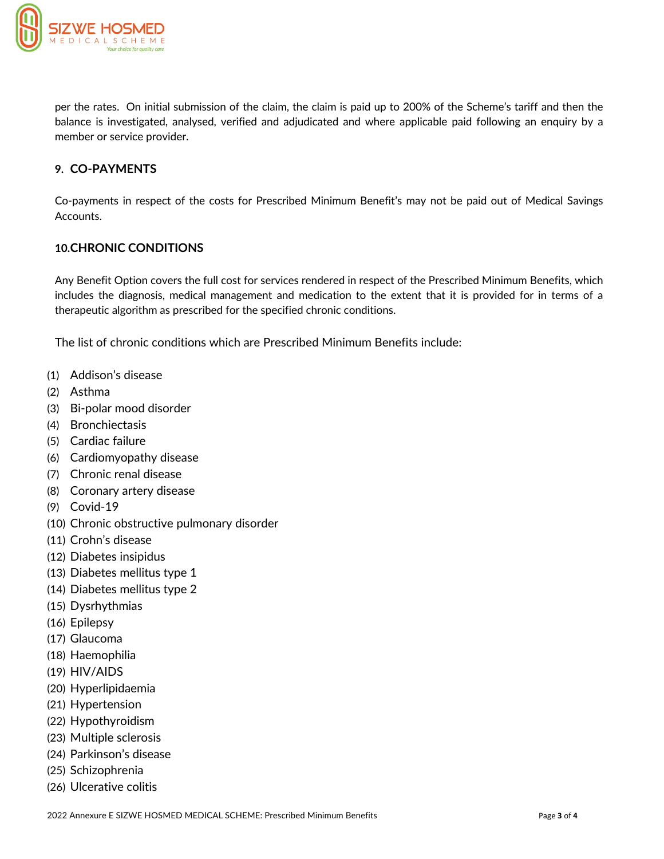

per the rates. On initial submission of the claim, the claim is paid up to 200% of the Scheme's tariff and then the balance is investigated, analysed, verified and adjudicated and where applicable paid following an enquiry by a member or service provider.

# **9. CO-PAYMENTS**

Co-payments in respect of the costs for Prescribed Minimum Benefit's may not be paid out of Medical Savings Accounts.

# **10.CHRONIC CONDITIONS**

Any Benefit Option covers the full cost for services rendered in respect of the Prescribed Minimum Benefits, which includes the diagnosis, medical management and medication to the extent that it is provided for in terms of a therapeutic algorithm as prescribed for the specified chronic conditions.

The list of chronic conditions which are Prescribed Minimum Benefits include:

- (1) Addison's disease
- (2) Asthma
- (3) Bi-polar mood disorder
- (4) Bronchiectasis
- (5) Cardiac failure
- (6) Cardiomyopathy disease
- (7) Chronic renal disease
- (8) Coronary artery disease
- (9) Covid-19
- (10) Chronic obstructive pulmonary disorder
- (11) Crohn's disease
- (12) Diabetes insipidus
- (13) Diabetes mellitus type 1
- (14) Diabetes mellitus type 2
- (15) Dysrhythmias
- (16) Epilepsy
- (17) Glaucoma
- (18) Haemophilia
- (19) HIV/AIDS
- (20) Hyperlipidaemia
- (21) Hypertension
- (22) Hypothyroidism
- (23) Multiple sclerosis
- (24) Parkinson's disease
- (25) Schizophrenia
- (26) Ulcerative colitis